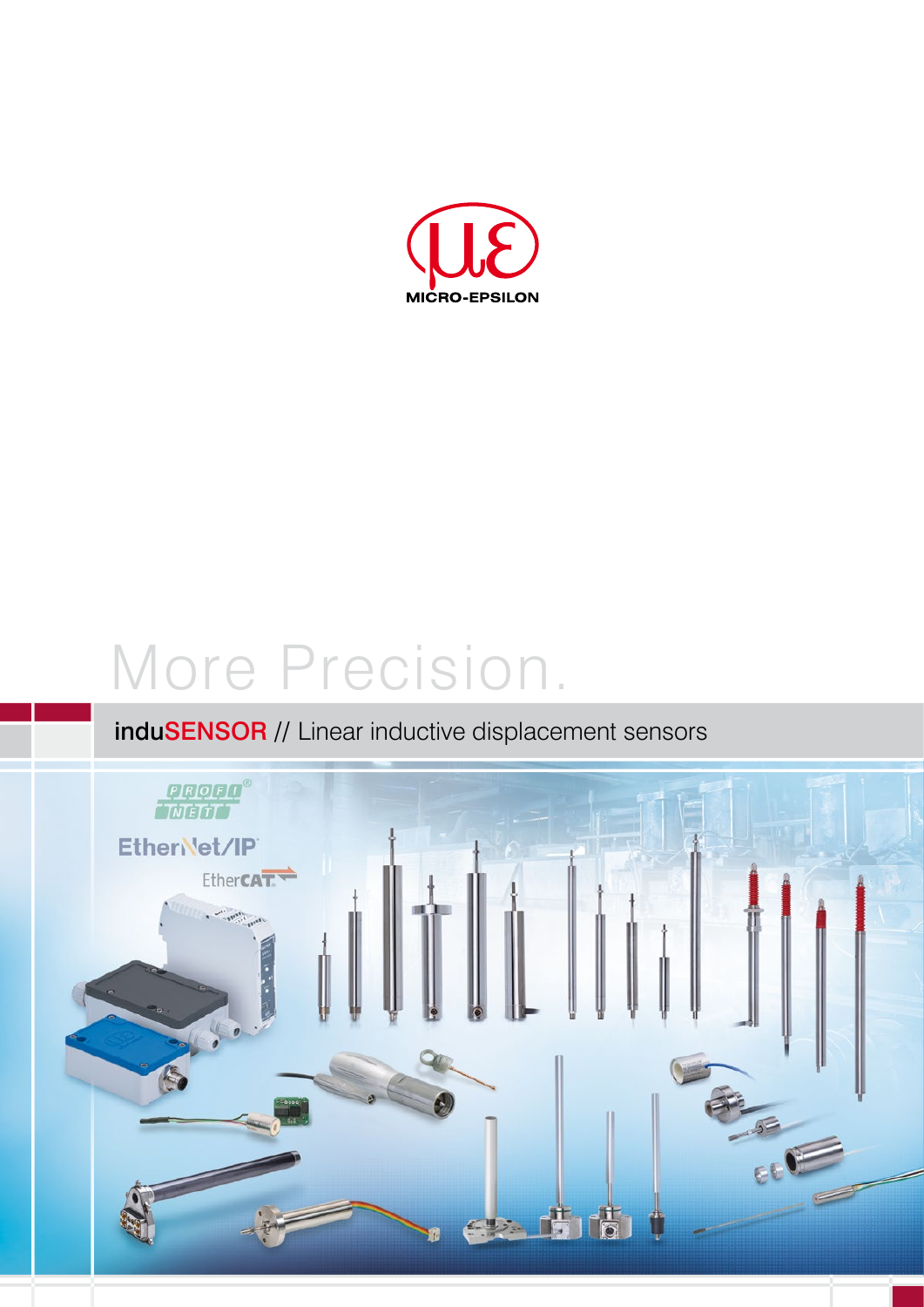

# More Precision.

## induSENSOR // Linear inductive displacement sensors

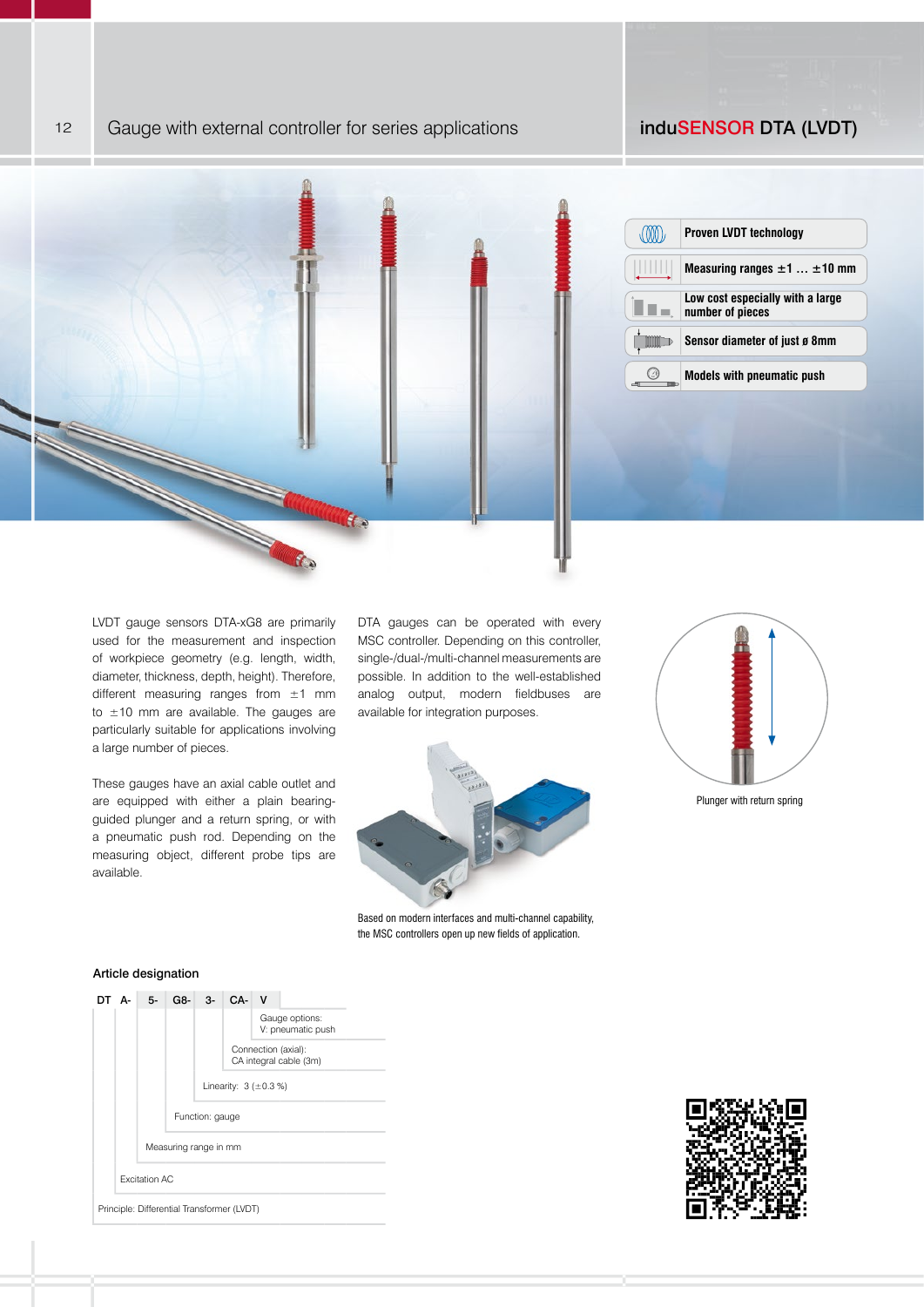### 12 Gauge with external controller for series applications **induSENSOR DTA (LVDT)**



LVDT gauge sensors DTA-xG8 are primarily used for the measurement and inspection of workpiece geometry (e.g. length, width, diameter, thickness, depth, height). Therefore, different measuring ranges from  $\pm 1$  mm to  $\pm 10$  mm are available. The gauges are particularly suitable for applications involving a large number of pieces.

These gauges have an axial cable outlet and are equipped with either a plain bearingguided plunger and a return spring, or with a pneumatic push rod. Depending on the measuring object, different probe tips are available.

DTA gauges can be operated with every MSC controller. Depending on this controller, single-/dual-/multi-channel measurements are possible. In addition to the well-established analog output, modern fieldbuses are available for integration purposes.



Based on modern interfaces and multi-channel capability, the MSC controllers open up new fields of application.



Plunger with return spring



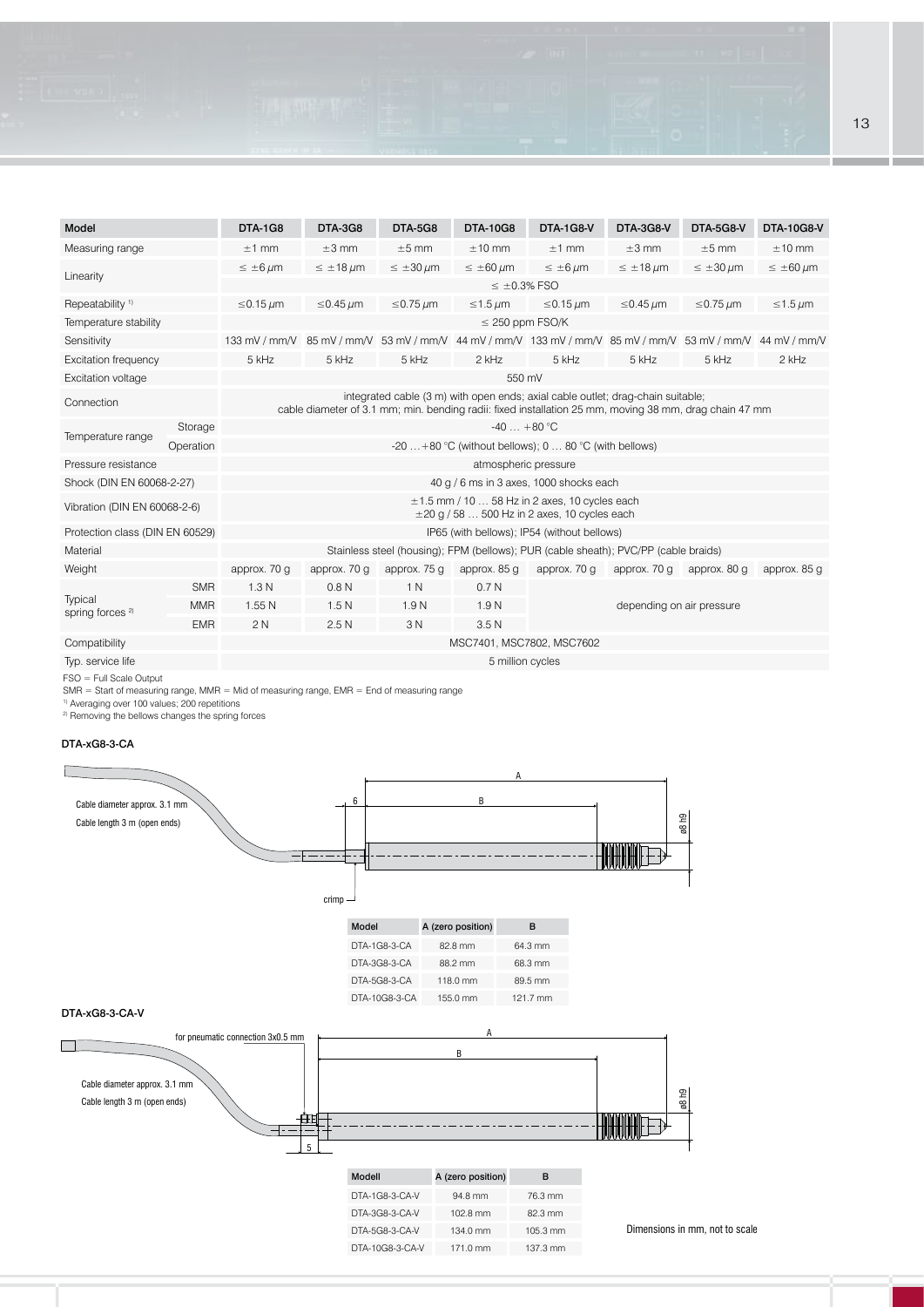## Model DTA-1G8 DTA-3G8 DTA-5G8 DTA-10G8 DTA-1G8-V DTA-3G8-V DTA-5G8-V DTA-10G8-V Measuring range ±1 mm ±3 mm ±5 mm ±10 mm ±1 mm ±3 mm ±5 mm ±10 mm  $\leq \pm 6 \ \mu$ m  $\leq \pm 18 \ \mu$ m  $\leq \pm 30 \ \mu$ m  $\leq \pm 60 \ \mu$ m  $\leq \pm 6 \ \mu$ m  $\leq \pm 18 \ \mu$ m  $\leq \pm 30 \ \mu$ m  $\leq \pm 60 \ \mu$ m  $\leq$  ±0.3% FSO Repeatability <sup>1)</sup> ≤0.15 µm ≤0.45 µm ≤0.45 µm ≤0.75 µm ≤1.5 µm ≤1.5 µm ≤0.75 µm ≤1.5 µm Temperature stability stability stability stability stability stability stability stability stability stability stability stability stability stability stability stability stability stability stability stability stability Sensitivity 133 mV / mm/V 85 mV / mm/V 53 mV / mm/V 44 mV / mm/V 133 mV / mm/V 85 mV / mm/V 53 mV / mm/V 44 mV / mm/V Excitation frequency 5 kHz 5 kHz 5 kHz 2 kHz 5 kHz 5 kHz 5 kHz 2 kHz Excitation voltage 550 mV Connection integrated cable (3 m) with open ends; axial cable outlet; drag-chain suitable; cable diameter of 3.1 mm; min. bending radii: fixed installation 25 mm, moving 38 mm, drag chain 47 mm Temperature range<br>
Temperature range<br>
Operation Contention Content Content Content Content Content Content Content Content Content Content Content Content Content Content Content Content Content Content Content Content Co  $-20$  ...  $+80$  °C (without bellows); 0 ... 80 °C (with bellows) Pressure resistance atmospheric pressure atmospheric pressure Shock (DIN EN 60068-2-27) 40 g / 6 ms in 3 axes, 1000 shocks each Vibration (DIN EN 60068-2-6) ±1.5 mm / 10 … 58 Hz in 2 axes, 10 cycles each  $\pm$ 20 g / 58 ... 500 Hz in 2 axes, 10 cycles each Protection class (DIN EN 60529) **IP65** (with bellows); IP54 (without bellows) Material Material Stainless steel (housing); FPM (bellows); PUR (cable sheath); PVC/PP (cable braids) Weight approx. 70 g approx. 70 g approx. 75 g approx. 85 g approx. 70 g approx. 70 g approx. 80 g approx. 85 g **Typical** spring forces<sup>2)</sup> SMR 1.3 N 0.8 N 1 N 0.7 N MMR 1.55 N 1.5 N 1.9 N 1.9 N 1.9 N depending on air pressure EMR 2 N 2.5 N 3 N 3.5 N Compatibility MSC7401, MSC7802, MSC7602

Typ. service life 5 million cycles

FSO = Full Scale Output

SMR = Start of measuring range, MMR = Mid of measuring range, EMR = End of measuring range

1) Averaging over 100 values; 200 repetitions

<sup>2)</sup> Removing the bellows changes the spring forces

## DTA-xG8-3-CA



Dimensions in mm, not to scale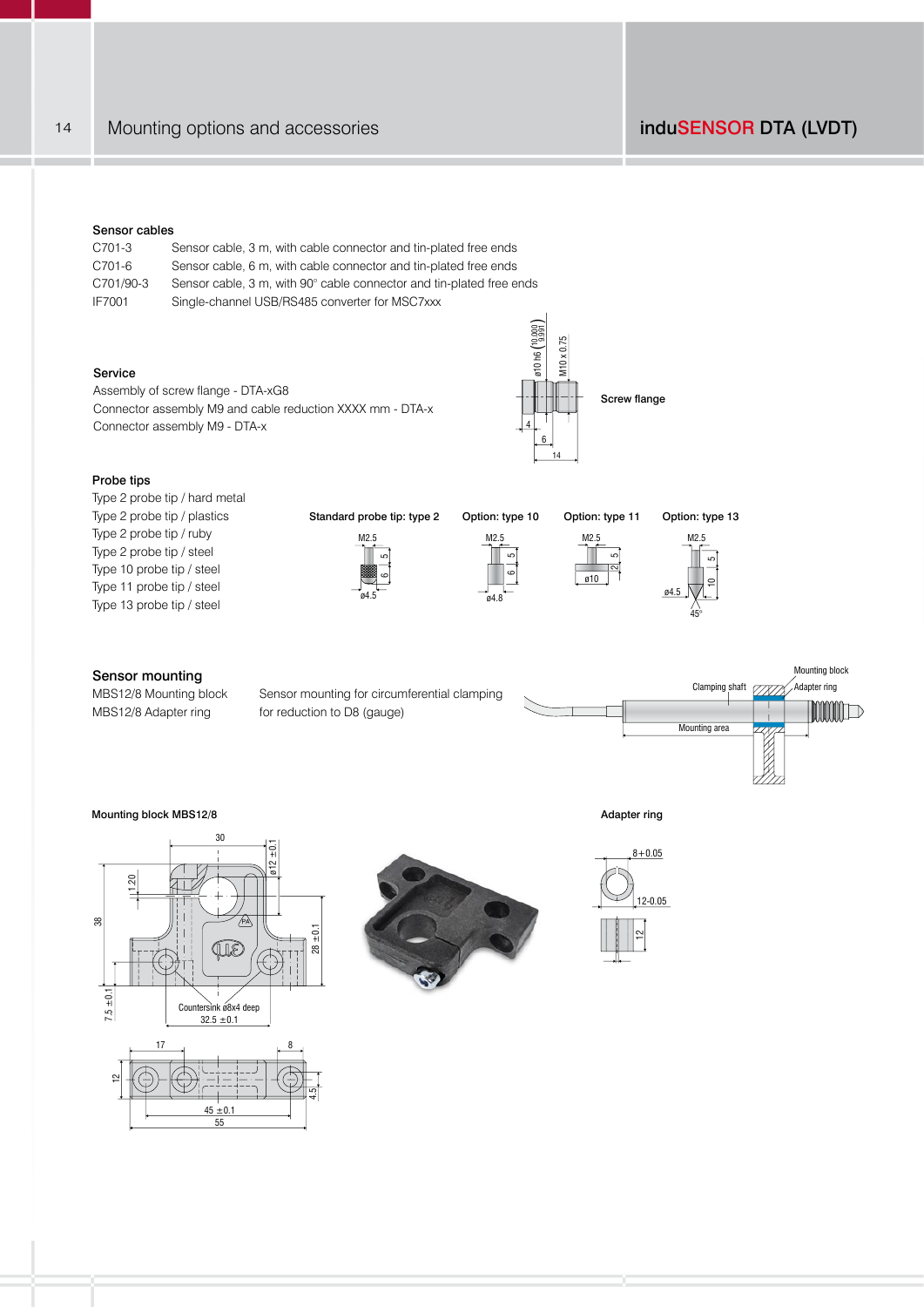14 Mounting options and accessories induSENSOR DTA (LVDT)

## Sensor cables

| C701-3        | Sensor cable, 3 m, with cable connector and tin-plated free ends     |
|---------------|----------------------------------------------------------------------|
| C701-6        | Sensor cable, 6 m, with cable connector and tin-plated free ends     |
| C701/90-3     | Sensor cable, 3 m, with 90° cable connector and tin-plated free ends |
| <b>IF7001</b> | Single-channel USB/RS485 converter for MSC7xxx                       |

## Service

Assembly of screw flange - DTA-xG8 Connector assembly M9 and cable reduction XXXX mm - DTA-x Connector assembly M9 - DTA-x

MBS12/8 Mounting block Sensor mounting for circumferential clamping

MBS12/8 Adapter ring for reduction to D8 (gauge)



M2.5

ø10 ົ 5ء<br>آ

Probe tips

Type 2 probe tip / hard metal Type 2 probe tip / plastics Type 2 probe tip / ruby Type 2 probe tip / steel Type 10 probe tip / steel Type 11 probe tip / steel Type 13 probe tip / steel

Standard probe tip: type 2 Option: type 10 Option: type 11







Mounting block Clamping shaft (77777) Adapter ring **MINID** Mounting area

## Mounting block MBS12/8 Adapter ring and the set of the set of the set of the set of the set of the set of the set of the set of the set of the set of the set of the set of the set of the set of the set of the set of the se

Sensor mounting





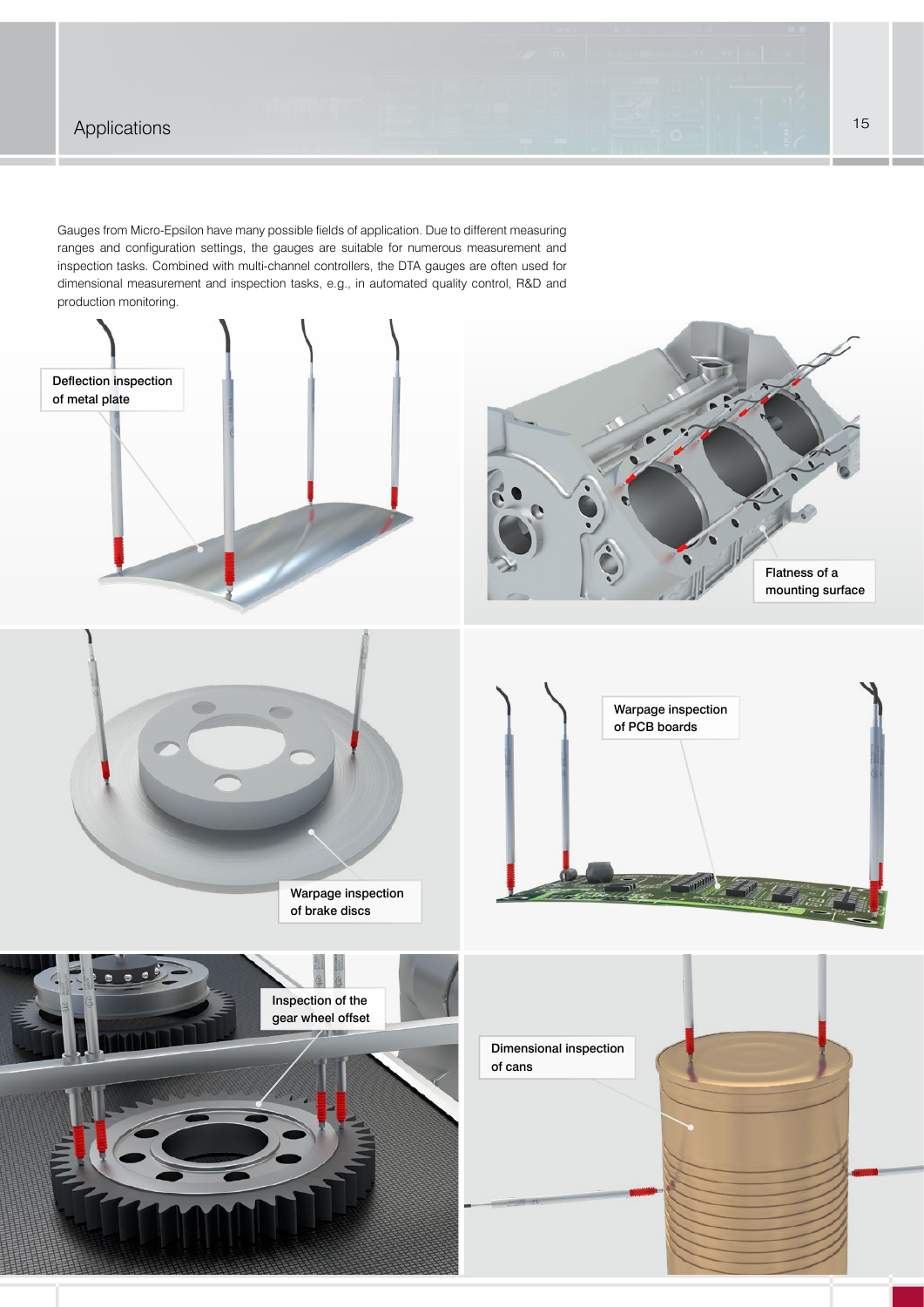## Applications **15** Applications **15**

Gauges from Micro-Epsilon have many possible fields of application. Due to different measuring ranges and configuration settings, the gauges are suitable for numerous measurement and inspection tasks. Combined with multi-channel controllers, the DTA gauges are often used for dimensional measurement and inspection tasks, e.g., in automated quality control, R&D and production monitoring.